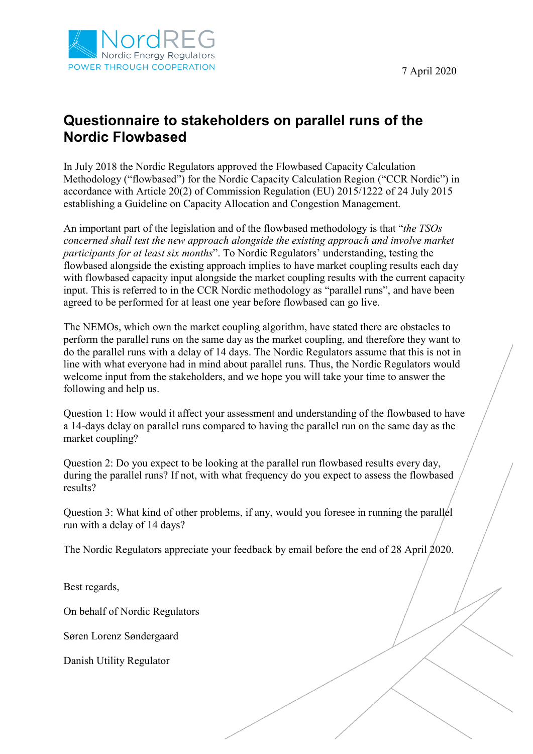



## **Questionnaire to stakeholders on parallel runs of the Nordic Flowbased**

In July 2018 the Nordic Regulators approved the Flowbased Capacity Calculation Methodology ("flowbased") for the Nordic Capacity Calculation Region ("CCR Nordic") in accordance with Article 20(2) of Commission Regulation (EU) 2015/1222 of 24 July 2015 establishing a Guideline on Capacity Allocation and Congestion Management.

An important part of the legislation and of the flowbased methodology is that "*the TSOs concerned shall test the new approach alongside the existing approach and involve market participants for at least six months*". To Nordic Regulators' understanding, testing the flowbased alongside the existing approach implies to have market coupling results each day with flowbased capacity input alongside the market coupling results with the current capacity input. This is referred to in the CCR Nordic methodology as "parallel runs", and have been agreed to be performed for at least one year before flowbased can go live.

The NEMOs, which own the market coupling algorithm, have stated there are obstacles to perform the parallel runs on the same day as the market coupling, and therefore they want to do the parallel runs with a delay of 14 days. The Nordic Regulators assume that this is not in line with what everyone had in mind about parallel runs. Thus, the Nordic Regulators would welcome input from the stakeholders, and we hope you will take your time to answer the following and help us.

Question 1: How would it affect your assessment and understanding of the flowbased to have a 14-days delay on parallel runs compared to having the parallel run on the same day as the market coupling?

Question 2: Do you expect to be looking at the parallel run flowbased results every day, during the parallel runs? If not, with what frequency do you expect to assess the flowbased results?

Question 3: What kind of other problems, if any, would you foresee in running the parallel run with a delay of 14 days?

The Nordic Regulators appreciate your feedback by email before the end of 28 April 2020.

Best regards,

On behalf of Nordic Regulators

Søren Lorenz Søndergaard

Danish Utility Regulator